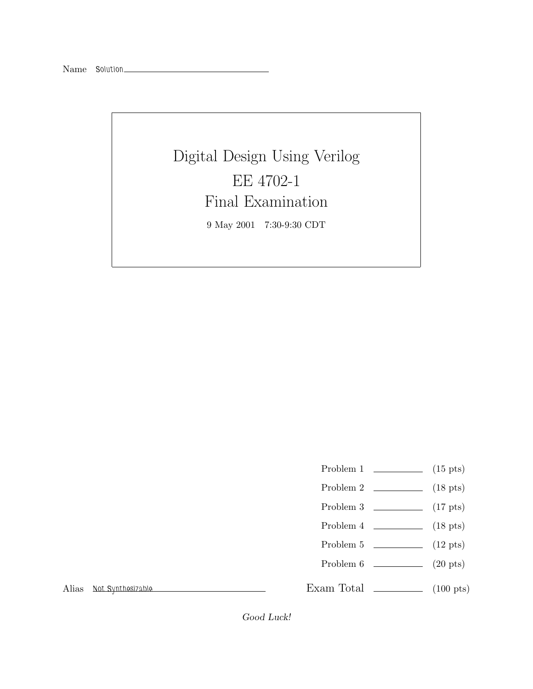## Digital Design Using Verilog EE 4702-1 Final Examination 9 May 2001 7:30-9:30 CDT

- Problem 1  $\qquad \qquad$  (15 pts)
- Problem 2 (18 pts)
- Problem 3 (17 pts)
- Problem  $4 \t\t(18 \text{ pts})$
- Problem 5 (12 pts)
- Problem 6 (20 pts)

Alias *Not Synthesizable*

Exam Total  $\qquad \qquad$  (100 pts)

Good Luck!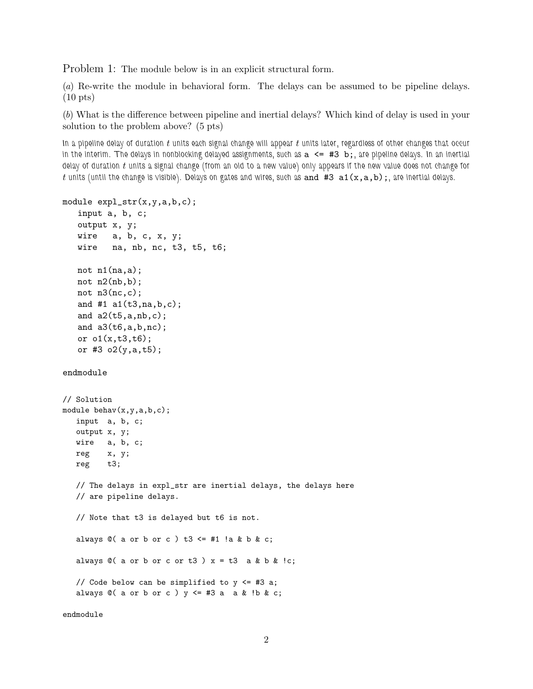Problem 1: The module below is in an explicit structural form.

(*a*) Re-write the module in behavioral form. The delays can be assumed to be pipeline delays. (10 pts)

(*b*) What is the difference between pipeline and inertial delays? Which kind of delay is used in your solution to the problem above? (5 pts)

*In a pipeline delay of duration* t *units each signal change will appear* t *units later, regardless of other changes that occur in the interim. The delays in nonblocking delayed assignments, such as* a <= #3 b;*, are pipeline delays. In an inertial delay of duration* t *units a signal change (from an old to a new value) only appears if the new value does not change for* t *units (until the change is visible). Delays on gates and wires, such as* and #3 a1(x,a,b);*, are inertial delays.*

```
module expl_str(x,y,a,b,c);
   input a, b, c;
   output x, y;
   wire a, b, c, x, y;
   wire na, nb, nc, t3, t5, t6;
   not n1(na,a);
   not n2(nb,b);
   not n3(nc,c);
   and #1 a1(t3,na,b,c);
   and a2(t5,a,nb,c);
   and a3(t6,a,b,nc);
   or o1(x,t3,t6);
   or #3 o2(y,a,t5);
endmodule
// Solution
module behav(x,y,a,b,c);
  input a, b, c;
  output x, y;
  wire a, b, c;
  reg x, y;
  reg t3;
  // The delays in expl_str are inertial delays, the delays here
  // are pipeline delays.
  // Note that t3 is delayed but t6 is not.
  always @( a or b or c ) t3 \leq #1 !a & b & c;
  always @( a or b or c or t3 )x = t3 a & b & !c;
  // Code below can be simplified to y <= #3 a;
  always @( a or b or c ) y \leq #3 a a & !b & c;
```
endmodule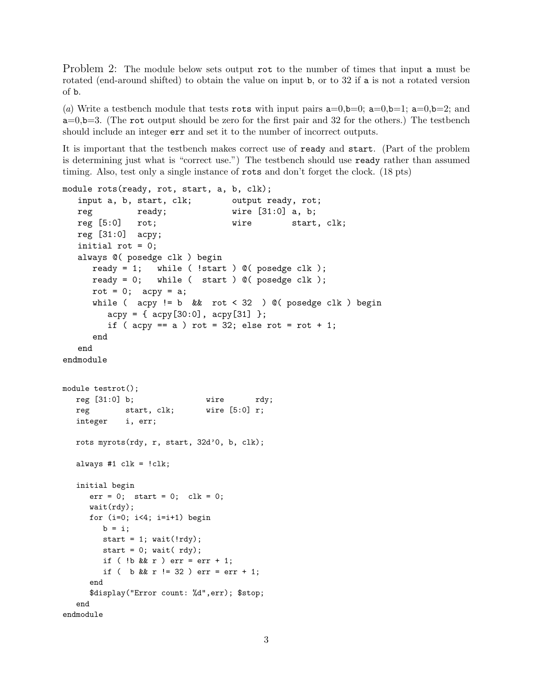Problem 2: The module below sets output rot to the number of times that input a must be rotated (end-around shifted) to obtain the value on input b, or to 32 if a is not a rotated version of b.

(*a*) Write a testbench module that tests rots with input pairs  $a=0,b=0$ ;  $a=0,b=1$ ;  $a=0,b=2$ ; and  $a=0, b=3$ . (The rot output should be zero for the first pair and 32 for the others.) The testbench should include an integer err and set it to the number of incorrect outputs.

It is important that the testbench makes correct use of ready and start. (Part of the problem is determining just what is "correct use.") The testbench should use ready rather than assumed timing. Also, test only a single instance of rots and don't forget the clock. (18 pts)

```
module rots(ready, rot, start, a, b, clk);
  input a, b, start, clk; output ready, rot;
  reg ready; wire [31:0] a, b;
  reg [5:0] rot; wire start, clk;
  reg [31:0] acpy;
  initial rot = 0;
  always @( posedge clk ) begin
     ready = 1; while ( !start ) \mathbb{O}( posedge clk );
     ready = 0; while ( start ) \mathcal{O}( posedge clk );
     rot = 0; acy = a;
     while ( acy != b && rot < 32 ) @( posedge clk ) begin
        acpy = {acpy[30:0], acpy[31] };
        if ( acy == a ) rot = 32; else rot = rot + 1;
     end
  end
endmodule
module testrot();
  reg [31:0] b; wire rdy;
  reg start, clk; wire [5:0] r;
  integer i, err;
  rots myrots(rdy, r, start, 32d'0, b, clk);
  always #1 clk = !clk;
  initial begin
     err = 0; start = 0; clk = 0;
     wait(rdy);
     for (i=0; i<4; i=i+1) begin
       b = i;start = 1; wait(!rdy);
       start = 0; wait( rdy);
        if ( \frac{1}{b} && r ) err = err + 1;
        if ( b && r != 32 ) err = err + 1;
     end
     $display("Error count: %d",err); $stop;
  end
endmodule
```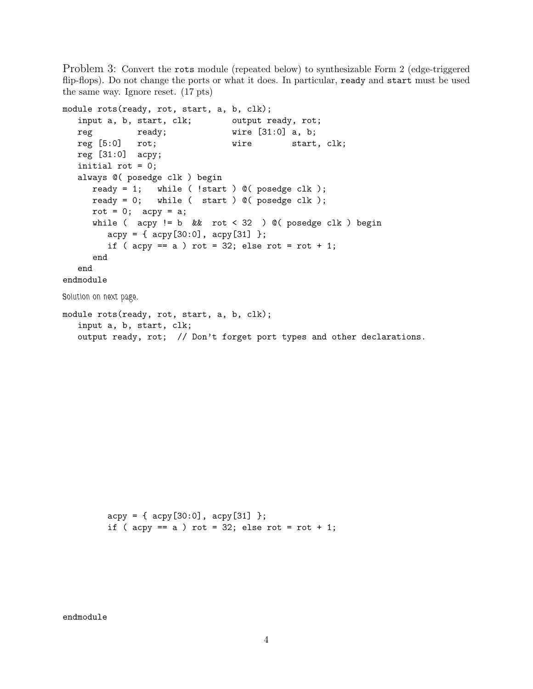Problem 3: Convert the rots module (repeated below) to synthesizable Form 2 (edge-triggered flip-flops). Do not change the ports or what it does. In particular, ready and start must be used the same way. Ignore reset. (17 pts)

```
module rots(ready, rot, start, a, b, clk);
  input a, b, start, clk; output ready, rot;
  reg ready; wire [31:0] a, b;
  reg [5:0] rot; wire start, clk;
  reg [31:0] acpy;
  initial rot = 0;
  always @( posedge clk ) begin
     ready = 1; while ( !start ) @( posedge clk );
     ready = 0; while ( start ) @ ( posedge clk );
     rot = 0; acy = a;
     while ( acpy != b && rot < 32 ) @( posedge clk ) begin
        acpy = { \alpha cpy[30:0], acpy[31] };if ( acpy == a ) rot = 32; else rot = rot + 1;
     end
  end
endmodule
Solution on next page.
module rots(ready, rot, start, a, b, clk);
  input a, b, start, clk;
  output ready, rot; // Don't forget port types and other declarations.
```
 $acpy = { \alpha cpy[30:0], acpy[31] };$ if (  $acpy == a$  ) rot = 32; else rot = rot + 1;

endmodule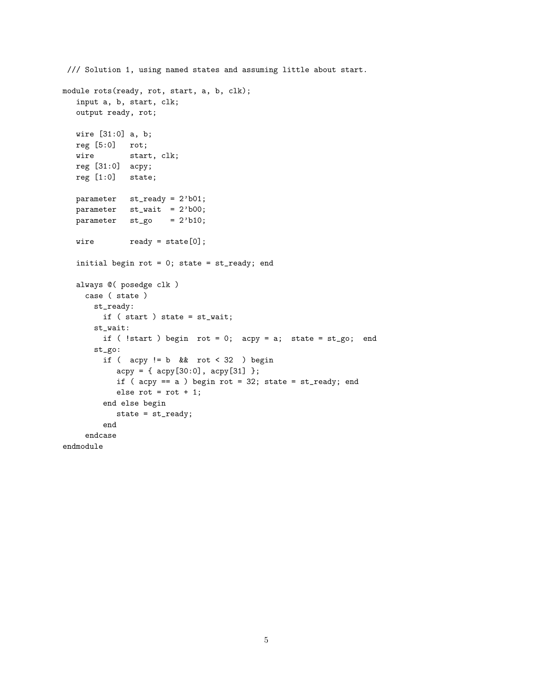```
/// Solution 1, using named states and assuming little about start.
module rots(ready, rot, start, a, b, clk);
  input a, b, start, clk;
  output ready, rot;
  wire [31:0] a, b;
  reg [5:0] rot;
  wire start, clk;
  reg [31:0] acpy;
  reg [1:0] state;
  parameter st_ready = 2'b01;
  parameter st_wait = 2'b00;
  parameter st_go = 2'b10;
  wire ready = state[0];initial begin rot = 0; state = st_ready; end
  always @( posedge clk )
    case ( state )
      st_ready:
        if ( start ) state = st_wait;
      st_wait:
        if ( !start ) begin rot = 0; acpy = a; state = st_go; end
      st_go:
        if ( acy != b & x rot < 32 ) begin
           acpy = { \alpha cpy[30:0], acpy[31] };if ( acpy == a ) begin rot = 32; state = st_ready; end
           else rot = rot + 1;
        end else begin
           state = st_ready;
        end
     endcase
endmodule
```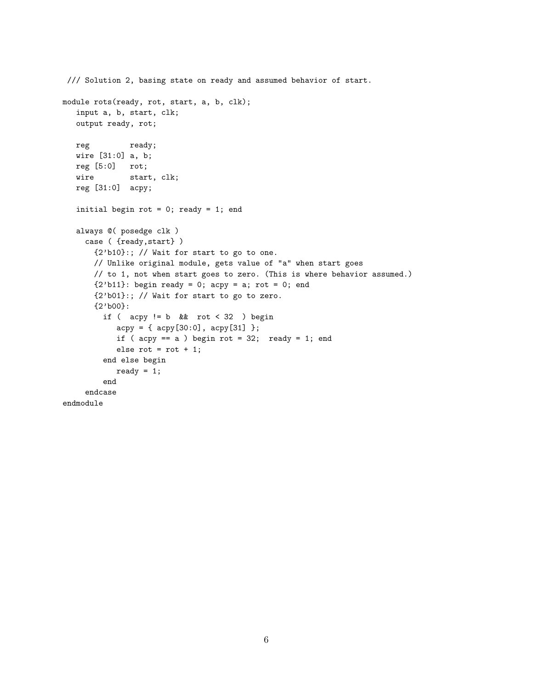```
/// Solution 2, basing state on ready and assumed behavior of start.
module rots(ready, rot, start, a, b, clk);
   input a, b, start, clk;
   output ready, rot;
  reg ready;
  wire [31:0] a, b;
  reg [5:0] rot;
  wire start, clk;
  reg [31:0] acpy;
   initial begin rot = 0; ready = 1; end
   always @( posedge clk )
    case ( {ready,start} )
       {2'b10}:; // Wait for start to go to one.
      // Unlike original module, gets value of "a" when start goes
      // to 1, not when start goes to zero. (This is where behavior assumed.)
       {2'bl1}: begin ready = 0; acpy = a; rot = 0; end
       {2'b01}:; // Wait for start to go to zero.
       {2'b00}:
        if ( acy != b & x rot < 32 ) begin
           acpy = { acpy[30:0], acpy[31] };
           if (acpy == a) begin rot = 32; ready = 1; end
           else rot = rot + 1;
        end else begin
           ready = 1;
         end
     endcase
endmodule
```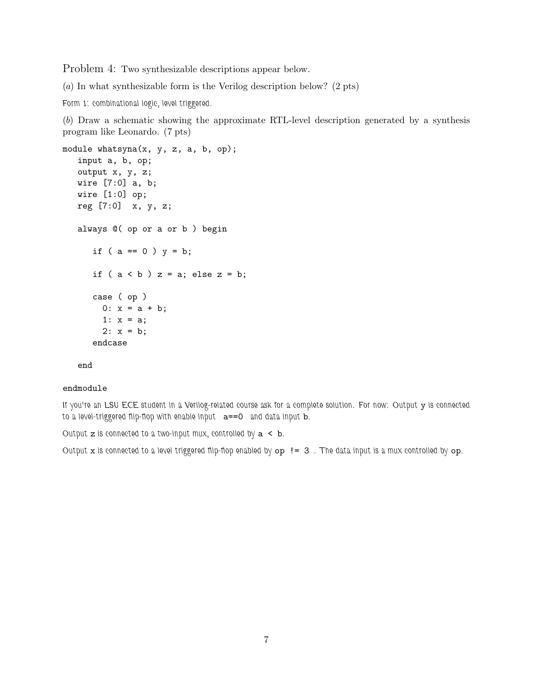Problem 4: Two synthesizable descriptions appear below.

(*a*) In what synthesizable form is the Verilog description below? (2 pts)

*Form 1: combinational logic, level triggered.*

(*b*) Draw a schematic showing the approximate RTL-level description generated by a synthesis program like Leonardo. (7 pts)

```
module whatsyna(x, y, z, a, b, op);
  input a, b, op;
  output x, y, z;
  wire [7:0] a, b;
  wire [1:0] op;
  reg [7:0] x, y, z;
  always @( op or a or b ) begin
      if ( a == 0 ) y = b;
      if (a < b) z = a; else z = b;
     case ( op )
       0: x = a + b;
       1: x = a;2: x = b;endcase
```
## end

## endmodule

*If you're an LSU ECE student in a Verilog-related course ask for a complete solution. For now: Output* y *is connected to a level-triggered flip-flop with enable input* a==0 *and data input* b*.*

*Output* z *is connected to a two-input mux, controlled by* a < b*.*

*Output* x *is connected to a level triggered flip-flop enabled by* op != 3 *. The data input is a mux controlled by* op*.*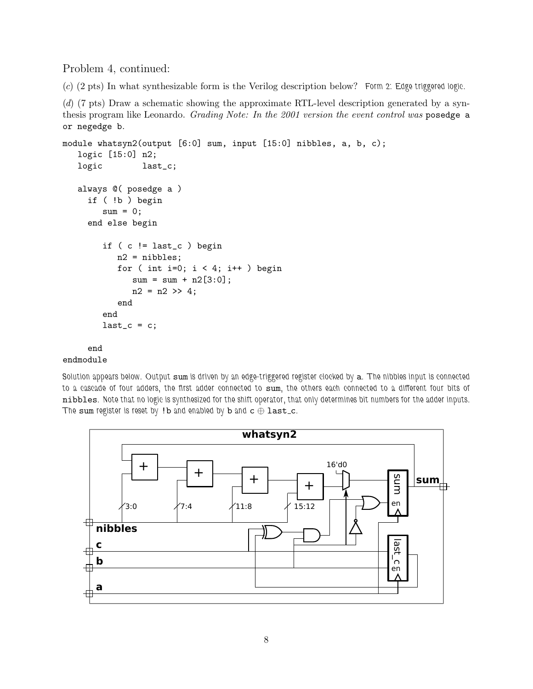Problem 4, continued:

(*c*) (2 pts) In what synthesizable form is the Verilog description below? *Form 2: Edge triggered logic.*

(*d*) (7 pts) Draw a schematic showing the approximate RTL-level description generated by a synthesis program like Leonardo. *Grading Note: In the 2001 version the event control was* posedge a or negedge b*.*

```
module whatsyn2(output [6:0] sum, input [15:0] nibbles, a, b, c);
  logic [15:0] n2;
  logic last_c;
  always @( posedge a )
    if ( !b ) begin
        sum = 0;
    end else begin
        if ( c != last_c ) begin
           n2 = nibbles;
           for ( int i=0; i < 4; i++ ) begin
             sum = sum + n2[3:0];n2 = n2 \gg 4;end
        end
        last_c = c;end
```
## endmodule

*Solution appears below. Output* sum *is driven by an edge-triggered register clocked by* a*. The nibbles input is connected to a cascade of four adders, the first adder connected to* sum*, the others each connected to a different four bits of* nibbles*. Note that no logic is synthesized for the shift operator, that only determines bit numbers for the adder inputs. The* sum *register is reset by* !b *and enabled by* b *and* c ⊕ last c*.*

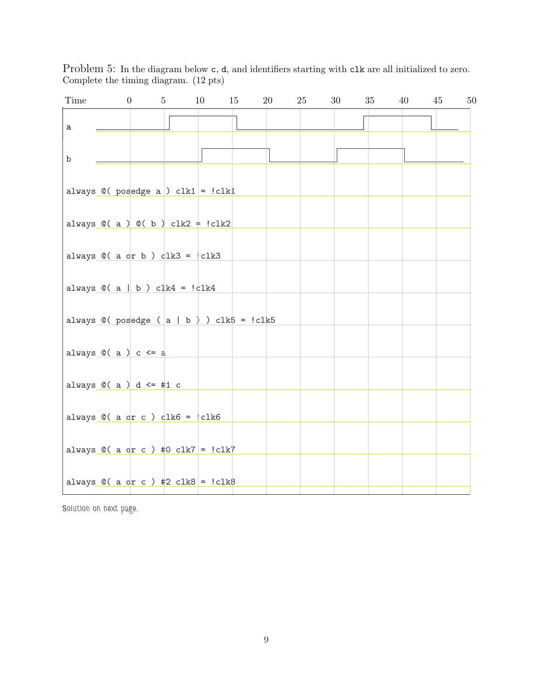Problem 5: In the diagram below  $c$ ,  $d$ , and identifiers starting with  $c$ lk are all initialized to zero. Complete the timing diagram. (12 pts)

| Time        | $\boldsymbol{0}$                   | $5\degree$                                                                                      | 10 | 15 | 20 | 25 | 30 | 35 | 40 | 50<br>45 |
|-------------|------------------------------------|-------------------------------------------------------------------------------------------------|----|----|----|----|----|----|----|----------|
| $\mathsf a$ |                                    |                                                                                                 |    |    |    |    |    |    |    |          |
| b           |                                    |                                                                                                 |    |    |    |    |    |    |    |          |
|             |                                    | always $\mathbb{C}(\text{pos} \text{edge a}) \text{ c}lk1 = l c lk1$                            |    |    |    |    |    |    |    |          |
|             |                                    | always $\mathbb{O}(\alpha) \cap \mathbb{O}(\alpha)$ clk2 = !clk2                                |    |    |    |    |    |    |    |          |
|             |                                    | always $\mathbb{O}(\begin{array}{c} \text{a or b} \end{array})$ $\frac{1}{2}k3 =  \text{clk3} $ |    |    |    |    |    |    |    |          |
|             |                                    | always $\mathbb{C}(\begin{array}{c c} a & b \end{array})$ clk4 = $\frac{1}{2}k4$                |    |    |    |    |    |    |    |          |
|             |                                    | always $\mathbb{O}(\text{posedge}(\text{a} \mid \text{b}))$ clk $\mathbb{5} = \text{lclk5}$     |    |    |    |    |    |    |    |          |
|             | always $\mathbb{O}(\alpha)$ c <= a |                                                                                                 |    |    |    |    |    |    |    |          |
|             | always $@( a ) d \leq #1 c$        |                                                                                                 |    |    |    |    |    |    |    |          |
|             |                                    | always $@( a of c ) dlk6 =   c lk6$                                                             |    |    |    |    |    |    |    |          |
|             |                                    | always $\mathbb{C}$ ( a or c ) #0 clk7 = !clk7                                                  |    |    |    |    |    |    |    |          |
|             |                                    | always $\mathbb{Q}$ ( a or c ) #2 clk8 = !clk8                                                  |    |    |    |    |    |    |    |          |

*Solution on next page.*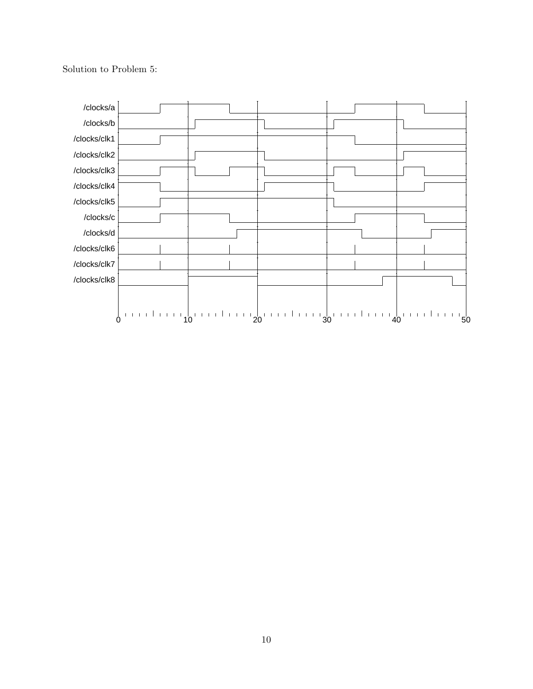Solution to Problem 5:

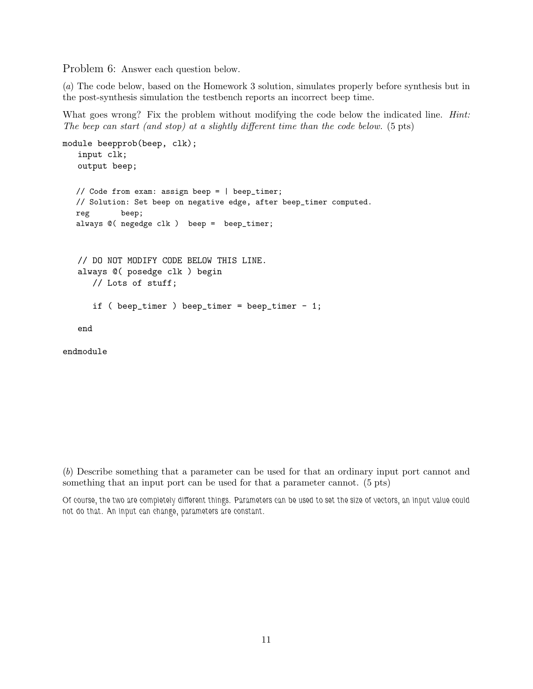Problem 6: Answer each question below.

(*a*) The code below, based on the Homework 3 solution, simulates properly before synthesis but in the post-synthesis simulation the testbench reports an incorrect beep time.

What goes wrong? Fix the problem without modifying the code below the indicated line. *Hint: The beep can start (and stop) at a slightly different time than the code below.* (5 pts)

```
module beepprob(beep, clk);
   input clk;
   output beep;
  // Code from exam: assign beep = | beep_timer;
  // Solution: Set beep on negative edge, after beep_timer computed.
  reg beep;
  always @( negedge clk ) beep = beep_timer;
   // DO NOT MODIFY CODE BELOW THIS LINE.
   always @( posedge clk ) begin
      // Lots of stuff;
      if ( beep_timer ) beep_timer = beep_timer - 1;
   end
endmodule
```
(*b*) Describe something that a parameter can be used for that an ordinary input port cannot and something that an input port can be used for that a parameter cannot. (5 pts)

*Of course, the two are completely different things. Parameters can be used to set the size of vectors, an input value could not do that. An input can change, parameters are constant.*